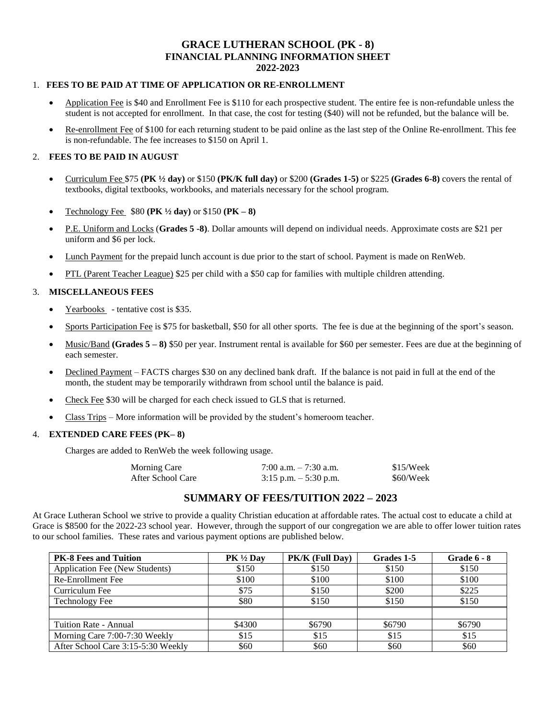# **GRACE LUTHERAN SCHOOL (PK - 8) FINANCIAL PLANNING INFORMATION SHEET 2022-2023**

# 1. **FEES TO BE PAID AT TIME OF APPLICATION OR RE-ENROLLMENT**

- Application Fee is \$40 and Enrollment Fee is \$110 for each prospective student. The entire fee is non-refundable unless the student is not accepted for enrollment. In that case, the cost for testing (\$40) will not be refunded, but the balance will be.
- Re-enrollment Fee of \$100 for each returning student to be paid online as the last step of the Online Re-enrollment. This fee is non-refundable. The fee increases to \$150 on April 1.

### 2. **FEES TO BE PAID IN AUGUST**

- Curriculum Fee \$75 **(PK ½ day)** or \$150 **(PK/K full day)** or \$200 **(Grades 1-5)** or \$225 **(Grades 6-8)** covers the rental of textbooks, digital textbooks, workbooks, and materials necessary for the school program.
- Technology Fee \$80 **(PK ½ day)** or \$150 **(PK – 8)**
- P.E. Uniform and Locks (**Grades 5 -8)**. Dollar amounts will depend on individual needs. Approximate costs are \$21 per uniform and \$6 per lock.
- Lunch Payment for the prepaid lunch account is due prior to the start of school. Payment is made on RenWeb.
- PTL (Parent Teacher League) \$25 per child with a \$50 cap for families with multiple children attending.

### 3. **MISCELLANEOUS FEES**

- Yearbooks tentative cost is \$35.
- Sports Participation Fee is \$75 for basketball, \$50 for all other sports. The fee is due at the beginning of the sport's season.
- Music/Band **(Grades 5 – 8)** \$50 per year. Instrument rental is available for \$60 per semester. Fees are due at the beginning of each semester.
- Declined Payment FACTS charges \$30 on any declined bank draft. If the balance is not paid in full at the end of the month, the student may be temporarily withdrawn from school until the balance is paid.
- Check Fee \$30 will be charged for each check issued to GLS that is returned.
- Class Trips More information will be provided by the student's homeroom teacher.

### 4. **EXTENDED CARE FEES (PK– 8)**

Charges are added to RenWeb the week following usage.

| Morning Care      | 7:00 a.m. $-7:30$ a.m.   | \$15/Week |
|-------------------|--------------------------|-----------|
| After School Care | $3:15$ p.m. $-5:30$ p.m. | \$60/Week |

### **SUMMARY OF FEES/TUITION 2022 – 2023**

At Grace Lutheran School we strive to provide a quality Christian education at affordable rates. The actual cost to educate a child at Grace is \$8500 for the 2022-23 school year. However, through the support of our congregation we are able to offer lower tuition rates to our school families. These rates and various payment options are published below.

| <b>PK-8 Fees and Tuition</b>       | $PK \frac{1}{2}$ Day | PK/K (Full Day) | Grades 1-5 | <b>Grade 6 - 8</b> |
|------------------------------------|----------------------|-----------------|------------|--------------------|
| Application Fee (New Students)     | \$150                | \$150           | \$150      | \$150              |
| Re-Enrollment Fee                  | \$100                | \$100           | \$100      | \$100              |
| Curriculum Fee                     | \$75                 | \$150           | \$200      | \$225              |
| <b>Technology Fee</b>              | \$80                 | \$150           | \$150      | \$150              |
|                                    |                      |                 |            |                    |
| Tuition Rate - Annual              | \$4300               | \$6790          | \$6790     | \$6790             |
| Morning Care 7:00-7:30 Weekly      | \$15                 | \$15            | \$15       | \$15               |
| After School Care 3:15-5:30 Weekly | \$60                 | \$60            | \$60       | \$60               |